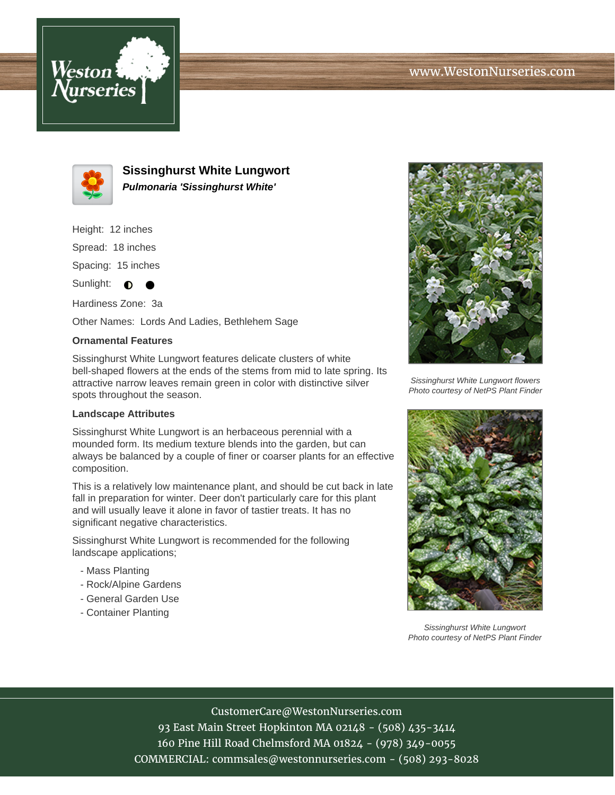



**Sissinghurst White Lungwort Pulmonaria 'Sissinghurst White'**

Height: 12 inches

Spread: 18 inches

Spacing: 15 inches

Sunlight:  $\bullet$  $\bullet$ 

Hardiness Zone: 3a

Other Names: Lords And Ladies, Bethlehem Sage

## **Ornamental Features**

Sissinghurst White Lungwort features delicate clusters of white bell-shaped flowers at the ends of the stems from mid to late spring. Its attractive narrow leaves remain green in color with distinctive silver spots throughout the season.

## **Landscape Attributes**

Sissinghurst White Lungwort is an herbaceous perennial with a mounded form. Its medium texture blends into the garden, but can always be balanced by a couple of finer or coarser plants for an effective composition.

This is a relatively low maintenance plant, and should be cut back in late fall in preparation for winter. Deer don't particularly care for this plant and will usually leave it alone in favor of tastier treats. It has no significant negative characteristics.

Sissinghurst White Lungwort is recommended for the following landscape applications;

- Mass Planting
- Rock/Alpine Gardens
- General Garden Use
- Container Planting



Sissinghurst White Lungwort flowers Photo courtesy of NetPS Plant Finder



Sissinghurst White Lungwort Photo courtesy of NetPS Plant Finder

CustomerCare@WestonNurseries.com

93 East Main Street Hopkinton MA 02148 - (508) 435-3414 160 Pine Hill Road Chelmsford MA 01824 - (978) 349-0055 COMMERCIAL: commsales@westonnurseries.com - (508) 293-8028